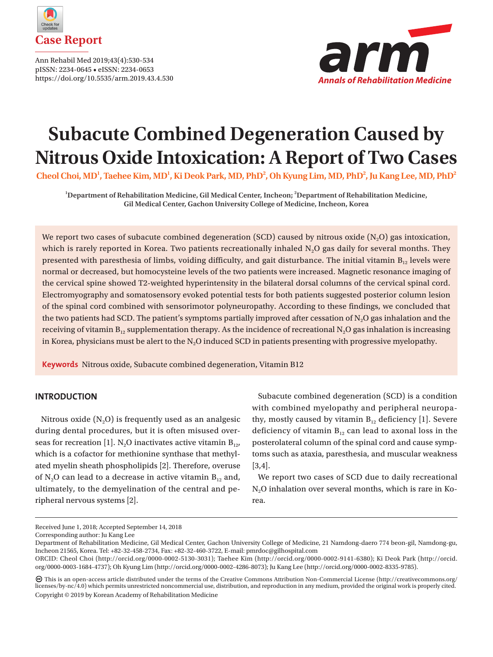

Ann Rehabil Med 2019;43(4):530-534 pISSN: 2234-0645 • eISSN: 2234-0653 https://doi.org/10.5535/arm.2019.43.4.530



# **Subacute Combined Degeneration Caused by Nitrous Oxide Intoxication: A Report of Two Cases**

Cheol Choi, MD<sup>1</sup>, Taehee Kim, MD<sup>1</sup>, Ki Deok Park, MD, PhD<sup>2</sup>, Oh Kyung Lim, MD, PhD<sup>2</sup>, Ju Kang Lee, MD, PhD<sup>2</sup>

**1 Department of Rehabilitation Medicine, Gil Medical Center, Incheon; <sup>2</sup> Department of Rehabilitation Medicine, Gil Medical Center, Gachon University College of Medicine, Incheon, Korea**

We report two cases of subacute combined degeneration (SCD) caused by nitrous oxide  $(N<sub>2</sub>O)$  gas intoxication, which is rarely reported in Korea. Two patients recreationally inhaled N<sub>2</sub>O gas daily for several months. They presented with paresthesia of limbs, voiding difficulty, and gait disturbance. The initial vitamin  $B_{12}$  levels were normal or decreased, but homocysteine levels of the two patients were increased. Magnetic resonance imaging of the cervical spine showed T2-weighted hyperintensity in the bilateral dorsal columns of the cervical spinal cord. Electromyography and somatosensory evoked potential tests for both patients suggested posterior column lesion of the spinal cord combined with sensorimotor polyneuropathy. According to these findings, we concluded that the two patients had SCD. The patient's symptoms partially improved after cessation of N<sub>2</sub>O gas inhalation and the receiving of vitamin  $B_{12}$  supplementation therapy. As the incidence of recreational  $N_2O$  gas inhalation is increasing in Korea, physicians must be alert to the  $N<sub>2</sub>O$  induced SCD in patients presenting with progressive myelopathy.

**Keywords** Nitrous oxide, Subacute combined degeneration, Vitamin B12

## **INTRODUCTION**

Nitrous oxide  $(N_2O)$  is frequently used as an analgesic during dental procedures, but it is often misused overseas for recreation [1]. N<sub>2</sub>O inactivates active vitamin  $B_{12}$ , which is a cofactor for methionine synthase that methylated myelin sheath phospholipids [2]. Therefore, overuse of  $N_2O$  can lead to a decrease in active vitamin  $B_{12}$  and, ultimately, to the demyelination of the central and peripheral nervous systems [2].

Subacute combined degeneration (SCD) is a condition with combined myelopathy and peripheral neuropathy, mostly caused by vitamin  $B_{12}$  deficiency [1]. Severe deficiency of vitamin  $B_{12}$  can lead to axonal loss in the posterolateral column of the spinal cord and cause symptoms such as ataxia, paresthesia, and muscular weakness [3,4].

We report two cases of SCD due to daily recreational N2O inhalation over several months, which is rare in Korea.

Received June 1, 2018; Accepted September 14, 2018

Corresponding author: Ju Kang Lee

Department of Rehabilitation Medicine, Gil Medical Center, Gachon University College of Medicine, 21 Namdong-daero 774 beon-gil, Namdong-gu, Incheon 21565, Korea. Tel: +82-32-458-2734, Fax: +82-32-460-3722, E-mail: pmrdoc@gilhospital.com

ORCID: Cheol Choi (http://orcid.org/0000-0002-5130-3031); Taehee Kim (http://orcid.org/0000-0002-9141-6380); Ki Deok Park (http://orcid. org/0000-0003-1684-4737); Oh Kyung Lim (http://orcid.org/0000-0002-4286-8073); Ju Kang Lee (http://orcid.org/0000-0002-8335-9785).

This is an open-access article distributed under the terms of the Creative Commons Attribution Non-Commercial License (http://creativecommons.org/ licenses/by-nc/4.0) which permits unrestricted noncommercial use, distribution, and reproduction in any medium, provided the original work is properly cited. Copyright © 2019 by Korean Academy of Rehabilitation Medicine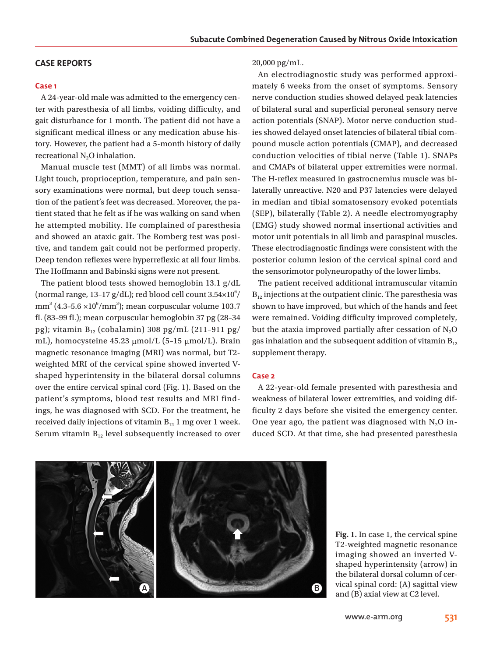#### **CASE REPORTS**

#### **Case 1**

A 24-year-old male was admitted to the emergency center with paresthesia of all limbs, voiding difficulty, and gait disturbance for 1 month. The patient did not have a significant medical illness or any medication abuse history. However, the patient had a 5-month history of daily recreational N<sub>2</sub>O inhalation.

Manual muscle test (MMT) of all limbs was normal. Light touch, proprioception, temperature, and pain sensory examinations were normal, but deep touch sensation of the patient's feet was decreased. Moreover, the patient stated that he felt as if he was walking on sand when he attempted mobility. He complained of paresthesia and showed an ataxic gait. The Romberg test was positive, and tandem gait could not be performed properly. Deep tendon reflexes were hyperreflexic at all four limbs. The Hoffmann and Babinski signs were not present.

The patient blood tests showed hemoglobin 13.1 g/dL (normal range, 13-17 g/dL); red blood cell count  $3.54\times10^6/$  $mm<sup>3</sup> (4.3-5.6 \times 10<sup>6</sup>/mm<sup>3</sup>)$ ; mean corpuscular volume 103.7 fL (83–99 fL); mean corpuscular hemoglobin 37 pg (28–34 pg); vitamin  $B_{12}$  (cobalamin) 308 pg/mL (211-911 pg/ mL), homocysteine 45.23 µmol/L (5-15 µmol/L). Brain magnetic resonance imaging (MRI) was normal, but T2 weighted MRI of the cervical spine showed inverted Vshaped hyperintensity in the bilateral dorsal columns over the entire cervical spinal cord (Fig. 1). Based on the patient's symptoms, blood test results and MRI findings, he was diagnosed with SCD. For the treatment, he received daily injections of vitamin  $B_{12}$  1 mg over 1 week. Serum vitamin  $B_{12}$  level subsequently increased to over

20,000 pg/mL.

An electrodiagnostic study was performed approximately 6 weeks from the onset of symptoms. Sensory nerve conduction studies showed delayed peak latencies of bilateral sural and superficial peroneal sensory nerve action potentials (SNAP). Motor nerve conduction studies showed delayed onset latencies of bilateral tibial compound muscle action potentials (CMAP), and decreased conduction velocities of tibial nerve (Table 1). SNAPs and CMAPs of bilateral upper extremities were normal. The H-reflex measured in gastrocnemius muscle was bilaterally unreactive. N20 and P37 latencies were delayed in median and tibial somatosensory evoked potentials (SEP), bilaterally (Table 2). A needle electromyography (EMG) study showed normal insertional activities and motor unit potentials in all limb and paraspinal muscles. These electrodiagnostic findings were consistent with the posterior column lesion of the cervical spinal cord and the sensorimotor polyneuropathy of the lower limbs.

The patient received additional intramuscular vitamin  $B_{12}$  injections at the outpatient clinic. The paresthesia was shown to have improved, but which of the hands and feet were remained. Voiding difficulty improved completely, but the ataxia improved partially after cessation of  $N_2O$ gas inhalation and the subsequent addition of vitamin  $B_{12}$ supplement therapy.

# **Case 2**

A 22-year-old female presented with paresthesia and weakness of bilateral lower extremities, and voiding difficulty 2 days before she visited the emergency center. One year ago, the patient was diagnosed with  $N<sub>2</sub>O$  induced SCD. At that time, she had presented paresthesia



**Fig. 1.** In case 1, the cervical spine T2-weighted magnetic resonance imaging showed an inverted Vshaped hyperintensity (arrow) in the bilateral dorsal column of cervical spinal cord: (A) sagittal view and (B) axial view at C2 level.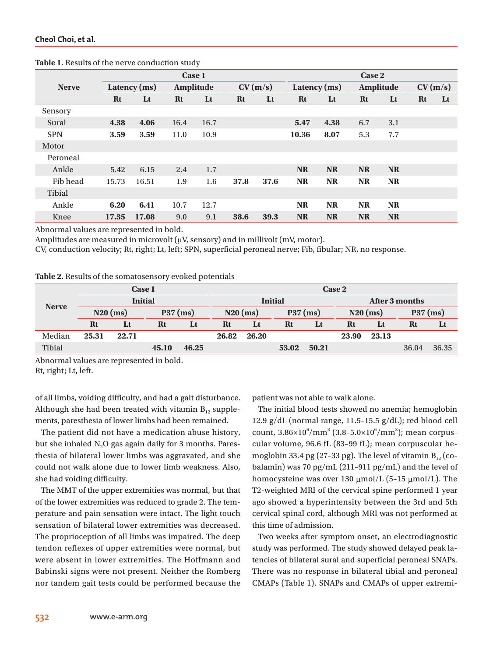|              | Case 1       |       |                  |      |           |      |              | Case 2    |           |           |           |           |  |
|--------------|--------------|-------|------------------|------|-----------|------|--------------|-----------|-----------|-----------|-----------|-----------|--|
| <b>Nerve</b> | Latency (ms) |       | <b>Amplitude</b> |      | CV(m/s)   |      | Latency (ms) |           | Amplitude |           | CV(m/s)   |           |  |
|              | <b>Rt</b>    | Lt    | <b>Rt</b>        | Lt   | <b>Rt</b> | Lt   | <b>Rt</b>    | Lt        | <b>Rt</b> | Lt        | <b>Rt</b> | $\bf{L}t$ |  |
| Sensory      |              |       |                  |      |           |      |              |           |           |           |           |           |  |
| Sural        | 4.38         | 4.06  | 16.4             | 16.7 |           |      | 5.47         | 4.38      | 6.7       | 3.1       |           |           |  |
| <b>SPN</b>   | 3.59         | 3.59  | 11.0             | 10.9 |           |      | 10.36        | 8.07      | 5.3       | 7.7       |           |           |  |
| Motor        |              |       |                  |      |           |      |              |           |           |           |           |           |  |
| Peroneal     |              |       |                  |      |           |      |              |           |           |           |           |           |  |
| Ankle        | 5.42         | 6.15  | 2.4              | 1.7  |           |      | <b>NR</b>    | <b>NR</b> | <b>NR</b> | <b>NR</b> |           |           |  |
| Fib head     | 15.73        | 16.51 | 1.9              | 1.6  | 37.8      | 37.6 | <b>NR</b>    | <b>NR</b> | <b>NR</b> | <b>NR</b> |           |           |  |
| Tibial       |              |       |                  |      |           |      |              |           |           |           |           |           |  |
| Ankle        | 6.20         | 6.41  | 10.7             | 12.7 |           |      | <b>NR</b>    | <b>NR</b> | <b>NR</b> | <b>NR</b> |           |           |  |
| Knee         | 17.35        | 17.08 | 9.0              | 9.1  | 38.6      | 39.3 | <b>NR</b>    | <b>NR</b> | <b>NR</b> | <b>NR</b> |           |           |  |

#### **Table 1.** Results of the nerve conduction study

Abnormal values are represented in bold.

Amplitudes are measured in microvolt  $(\mu V, \text{sensor})$  and in millivolt (mV, motor).

CV, conduction velocity; Rt, right; Lt, left; SPN, superficial peroneal nerve; Fib, fibular; NR, no response.

**Table 2.** Results of the somatosensory evoked potentials

| <b>Nerve</b> | Case 1         |       |            |       | Case 2         |       |            |       |                |       |            |       |  |
|--------------|----------------|-------|------------|-------|----------------|-------|------------|-------|----------------|-------|------------|-------|--|
|              | <b>Initial</b> |       |            |       | <b>Initial</b> |       |            |       | After 3 months |       |            |       |  |
|              | $N20$ (ms)     |       | $P37$ (ms) |       | $N20$ (ms)     |       | $P37$ (ms) |       | $N20$ (ms)     |       | $P37$ (ms) |       |  |
|              | Rt             | Lt    | Rt         | Lt    | Rt             | Lt    | Rt         | Lt    | Rt             | Lt    | Rt         | Lt    |  |
| Median       | 25.31          | 22.71 |            |       | 26.82          | 26.20 |            |       | 23.90          | 23.13 |            |       |  |
| Tibial       |                |       | 45.10      | 46.25 |                |       | 53.02      | 50.21 |                |       | 36.04      | 36.35 |  |

Abnormal values are represented in bold.

Rt, right; Lt, left.

of all limbs, voiding difficulty, and had a gait disturbance. Although she had been treated with vitamin  $B_{12}$  supplements, paresthesia of lower limbs had been remained.

The patient did not have a medication abuse history, but she inhaled N<sub>2</sub>O gas again daily for 3 months. Paresthesia of bilateral lower limbs was aggravated, and she could not walk alone due to lower limb weakness. Also, she had voiding difficulty.

The MMT of the upper extremities was normal, but that of the lower extremities was reduced to grade 2. The temperature and pain sensation were intact. The light touch sensation of bilateral lower extremities was decreased. The proprioception of all limbs was impaired. The deep tendon reflexes of upper extremities were normal, but were absent in lower extremities. The Hoffmann and Babinski signs were not present. Neither the Romberg nor tandem gait tests could be performed because the patient was not able to walk alone.

The initial blood tests showed no anemia; hemoglobin 12.9  $g/dL$  (normal range, 11.5–15.5  $g/dL$ ); red blood cell count,  $3.86 \times 10^{6} / \text{mm}^{3}$  (3.8-5.0×10<sup>6</sup>/mm<sup>3</sup>); mean corpuscular volume, 96.6 fL (83–99 fL); mean corpuscular hemoglobin 33.4 pg (27-33 pg). The level of vitamin  $B_{12}$  (cobalamin) was 70 pg/mL (211–911 pg/mL) and the level of homocysteine was over 130  $\mu$ mol/L (5-15  $\mu$ mol/L). The T2-weighted MRI of the cervical spine performed 1 year ago showed a hyperintensity between the 3rd and 5th cervical spinal cord, although MRI was not performed at this time of admission.

Two weeks after symptom onset, an electrodiagnostic study was performed. The study showed delayed peak latencies of bilateral sural and superficial peroneal SNAPs. There was no response in bilateral tibial and peroneal CMAPs (Table 1). SNAPs and CMAPs of upper extremi-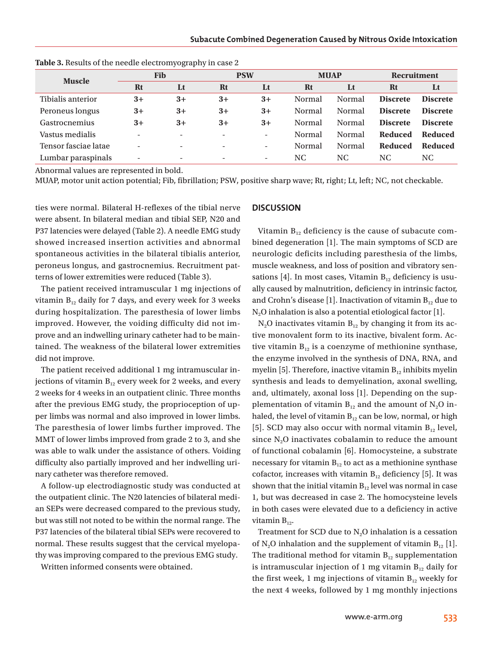| <b>Muscle</b>        | Fib                      |      |                          | <b>PSW</b>               |           | <b>MUAP</b> | <b>Recruitment</b> |                 |  |
|----------------------|--------------------------|------|--------------------------|--------------------------|-----------|-------------|--------------------|-----------------|--|
|                      | Rt                       | Lt   | Rt                       | Lt                       | <b>Rt</b> | Lt          | <b>Rt</b>          | Lt              |  |
| Tibialis anterior    | $3+$                     | $3+$ | $3+$                     | $3+$                     | Normal    | Normal      | <b>Discrete</b>    | <b>Discrete</b> |  |
| Peroneus longus      | $3+$                     | $3+$ | $3+$                     | $3+$                     | Normal    | Normal      | <b>Discrete</b>    | <b>Discrete</b> |  |
| Gastrocnemius        | $3+$                     | $3+$ | $3+$                     | $3+$                     | Normal    | Normal      | <b>Discrete</b>    | <b>Discrete</b> |  |
| Vastus medialis      | $\equiv$                 |      | $\overline{\phantom{a}}$ | $\overline{\phantom{a}}$ | Normal    | Normal      | <b>Reduced</b>     | <b>Reduced</b>  |  |
| Tensor fasciae latae | -                        |      | $\overline{\phantom{0}}$ | Ξ.                       | Normal    | Normal      | <b>Reduced</b>     | <b>Reduced</b>  |  |
| Lumbar paraspinals   | $\overline{\phantom{0}}$ |      | $\overline{\phantom{a}}$ | Ξ.                       | NC        | NС          | NC.                | NC              |  |

**Table 3.** Results of the needle electromyography in case 2

Abnormal values are represented in bold.

MUAP, motor unit action potential; Fib, fibrillation; PSW, positive sharp wave; Rt, right; Lt, left; NC, not checkable.

ties were normal. Bilateral H-reflexes of the tibial nerve were absent. In bilateral median and tibial SEP, N20 and P37 latencies were delayed (Table 2). A needle EMG study showed increased insertion activities and abnormal spontaneous activities in the bilateral tibialis anterior, peroneus longus, and gastrocnemius. Recruitment patterns of lower extremities were reduced (Table 3).

The patient received intramuscular 1 mg injections of vitamin  $B_{12}$  daily for 7 days, and every week for 3 weeks during hospitalization. The paresthesia of lower limbs improved. However, the voiding difficulty did not improve and an indwelling urinary catheter had to be maintained. The weakness of the bilateral lower extremities did not improve.

The patient received additional 1 mg intramuscular injections of vitamin  $B_{12}$  every week for 2 weeks, and every 2 weeks for 4 weeks in an outpatient clinic. Three months after the previous EMG study, the proprioception of upper limbs was normal and also improved in lower limbs. The paresthesia of lower limbs further improved. The MMT of lower limbs improved from grade 2 to 3, and she was able to walk under the assistance of others. Voiding difficulty also partially improved and her indwelling urinary catheter was therefore removed.

A follow-up electrodiagnostic study was conducted at the outpatient clinic. The N20 latencies of bilateral median SEPs were decreased compared to the previous study, but was still not noted to be within the normal range. The P37 latencies of the bilateral tibial SEPs were recovered to normal. These results suggest that the cervical myelopathy was improving compared to the previous EMG study.

Written informed consents were obtained.

## **DISCUSSION**

Vitamin  $B_{12}$  deficiency is the cause of subacute combined degeneration [1]. The main symptoms of SCD are neurologic deficits including paresthesia of the limbs, muscle weakness, and loss of position and vibratory sensations [4]. In most cases, Vitamin  $B_{12}$  deficiency is usually caused by malnutrition, deficiency in intrinsic factor, and Crohn's disease [1]. Inactivation of vitamin  $B_{12}$  due to  $N<sub>2</sub>O$  inhalation is also a potential etiological factor [1].

 $N_2$ O inactivates vitamin  $B_{12}$  by changing it from its active monovalent form to its inactive, bivalent form. Active vitamin  $B_{12}$  is a coenzyme of methionine synthase, the enzyme involved in the synthesis of DNA, RNA, and myelin [5]. Therefore, inactive vitamin  $B_{12}$  inhibits myelin synthesis and leads to demyelination, axonal swelling, and, ultimately, axonal loss [1]. Depending on the supplementation of vitamin  $B_{12}$  and the amount of N<sub>2</sub>O inhaled, the level of vitamin  $B_{12}$  can be low, normal, or high [5]. SCD may also occur with normal vitamin  $B_{12}$  level, since N<sub>2</sub>O inactivates cobalamin to reduce the amount of functional cobalamin [6]. Homocysteine, a substrate necessary for vitamin  $B_{12}$  to act as a methionine synthase cofactor, increases with vitamin  $B_{12}$  deficiency [5]. It was shown that the initial vitamin  $B_{12}$  level was normal in case 1, but was decreased in case 2. The homocysteine levels in both cases were elevated due to a deficiency in active vitamin  $B_{12}$ .

Treatment for SCD due to  $N_2O$  inhalation is a cessation of N<sub>2</sub>O inhalation and the supplement of vitamin  $B_{12}$  [1]. The traditional method for vitamin  $B_{12}$  supplementation is intramuscular injection of 1 mg vitamin  $B_{12}$  daily for the first week, 1 mg injections of vitamin  $B_{12}$  weekly for the next 4 weeks, followed by 1 mg monthly injections